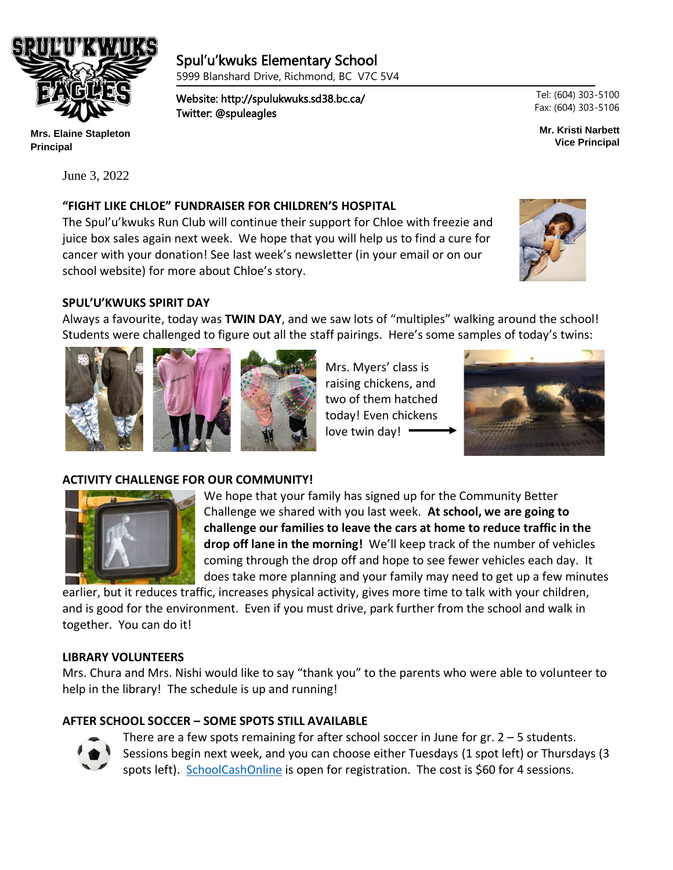

**Mrs. Elaine Stapleton Principal**

June 3, 2022

# Spul'u'kwuks Elementary School

5999 Blanshard Drive, Richmond, BC V7C 5V4

Website: http://spulukwuks.sd38.bc.ca/ Twitter: @spuleagles

Tel: (604) 303-5100 Fax: (604) 303-5106

**Mr. Kristi Narbett Vice Principal**

## **"FIGHT LIKE CHLOE" FUNDRAISER FOR CHILDREN'S HOSPITAL**

٦

The Spul'u'kwuks Run Club will continue their support for Chloe with freezie and juice box sales again next week. We hope that you will help us to find a cure for cancer with your donation! See last week's newsletter (in your email or on our school website) for more about Chloe's story.



#### **SPUL'U'KWUKS SPIRIT DAY**

Always a favourite, today was **TWIN DAY**, and we saw lots of "multiples" walking around the school! Students were challenged to figure out all the staff pairings. Here's some samples of today's twins:





Mrs. Myers' class is raising chickens, and two of them hatched today! Even chickens love twin day!



## **ACTIVITY CHALLENGE FOR OUR COMMUNITY!**



We hope that your family has signed up for the Community Better Challenge we shared with you last week. **At school, we are going to challenge our families to leave the cars at home to reduce traffic in the drop off lane in the morning!** We'll keep track of the number of vehicles coming through the drop off and hope to see fewer vehicles each day. It does take more planning and your family may need to get up a few minutes

earlier, but it reduces traffic, increases physical activity, gives more time to talk with your children, and is good for the environment. Even if you must drive, park further from the school and walk in together. You can do it!

#### **LIBRARY VOLUNTEERS**

Mrs. Chura and Mrs. Nishi would like to say "thank you" to the parents who were able to volunteer to help in the library! The schedule is up and running!

## **AFTER SCHOOL SOCCER – SOME SPOTS STILL AVAILABLE**



There are a few spots remaining for after school soccer in June for  $gr. 2 - 5$  students. Sessions begin next week, and you can choose either Tuesdays (1 spot left) or Thursdays (3 spots left). [SchoolCashOnline](https://richmondsd38.schoolcashonline.com/) is open for registration. The cost is \$60 for 4 sessions.